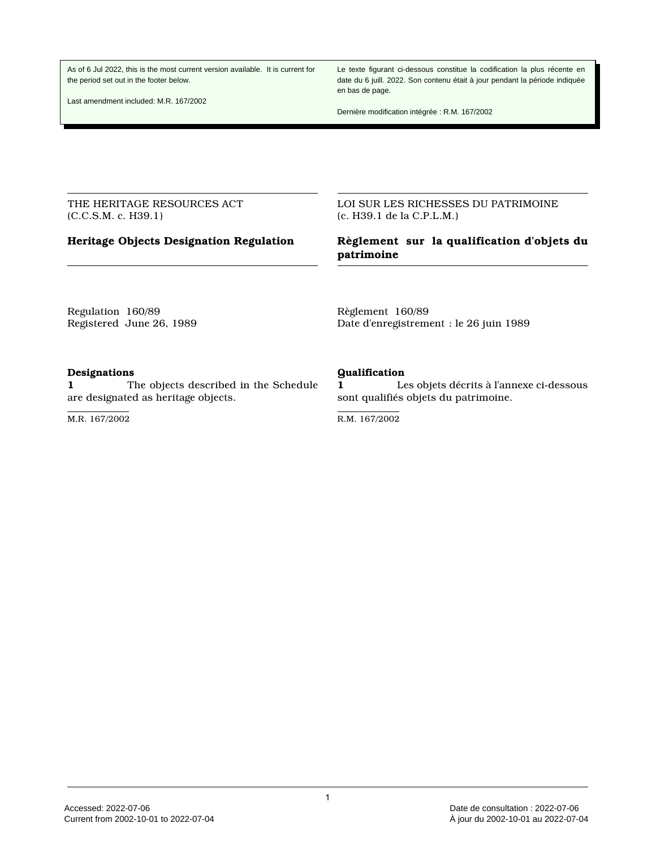As of 6 Jul 2022, this is the most current version available. It is current for the period set out in the footer below.

Last amendment included: M.R. 167/2002

Le texte figurant ci-dessous constitue la codification la plus récente en date du 6 juill. 2022. Son contenu était à jour pendant la période indiquée en bas de page.

Dernière modification intégrée : R.M. 167/2002

THE HERITAGE RESOURCES ACT (C.C.S.M. c. H39.1)

LOI SUR LES RICHESSES DU PATRIMOINE (c. H39.1 de la C.P.L.M.)

# **Heritage Objects Designation Regulation Règlement sur la qualification d'objets du patrimoine**

Regulation 160/89 Registered June 26, 1989 Règlement 160/89 Date d'enregistrement : le 26 juin 1989

### **Designations**

**1** The objects described in the Schedule are designated as heritage objects.

M.R. 167/2002

### **Qualification**

**1** Les objets décrits à l'annexe ci-dessous sont qualifiés objets du patrimoine.

R.M. 167/2002